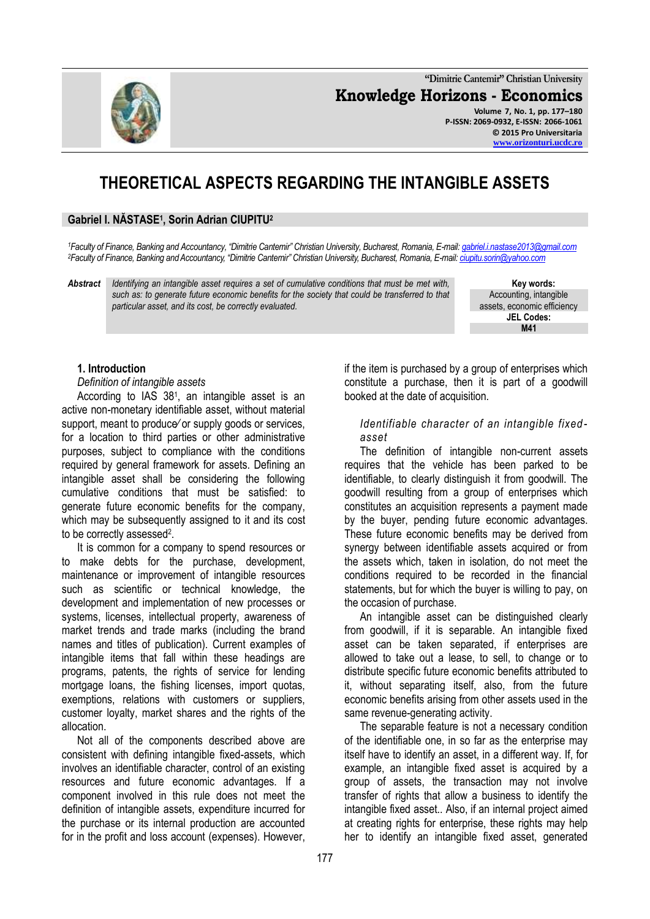**"Dimitrie Cantemir" Christian University Knowledge Horizons - Economics Volume 7, No. 1, pp. 177–180 P-ISSN: 2069-0932, E-ISSN: 2066-1061 © 2015 Pro Universitaria**

# **THEORETICAL ASPECTS REGARDING THE INTANGIBLE ASSETS**

## **Gabriel I. NĂSTASE<sup>1</sup> , Sorin Adrian CIUPITU<sup>2</sup>**

*<sup>1</sup>Faculty of Finance, Banking and Accountancy, "Dimitrie Cantemir" Christian University, Bucharest, Romania, E-mail: [gabriel.i.nastase2013@gmail.com](mailto:gabriel.i.nastase2013@gmail.com) <sup>2</sup>Faculty of Finance, Banking and Accountancy, "Dimitrie Cantemir" Christian University, Bucharest, Romania, E-mail[: ciupitu.sorin@yahoo.com](mailto:ciupitu.sorin@yahoo.com)*

*Abstract Identifying an intangible asset requires a set of cumulative conditions that must be met with, such as: to generate future economic benefits for the society that could be transferred to that particular asset, and its cost, be correctly evaluated.* 

**Key words:** Accounting, intangible assets, economic efficiency **JEL Codes: M41**

**[www.orizonturi.ucdc.ro](http://www.orizonturi.ucdc.ro/)**

## **1. Introduction**

*Definition of intangible assets*

According to IAS 38<sup>1</sup> , an intangible asset is an active non-monetary identifiable asset, without material support, meant to produce∕ or supply goods or services, for a location to third parties or other administrative purposes, subject to compliance with the conditions required by general framework for assets. Defining an intangible asset shall be considering the following cumulative conditions that must be satisfied: to generate future economic benefits for the company, which may be subsequently assigned to it and its cost to be correctly assessed<sup>2</sup>.

It is common for a company to spend resources or to make debts for the purchase, development, maintenance or improvement of intangible resources such as scientific or technical knowledge, the development and implementation of new processes or systems, licenses, intellectual property, awareness of market trends and trade marks (including the brand names and titles of publication). Current examples of intangible items that fall within these headings are programs, patents, the rights of service for lending mortgage loans, the fishing licenses, import quotas, exemptions, relations with customers or suppliers, customer loyalty, market shares and the rights of the allocation.

Not all of the components described above are consistent with defining intangible fixed-assets, which involves an identifiable character, control of an existing resources and future economic advantages. If a component involved in this rule does not meet the definition of intangible assets, expenditure incurred for the purchase or its internal production are accounted for in the profit and loss account (expenses). However,

if the item is purchased by a group of enterprises which constitute a purchase, then it is part of a goodwill booked at the date of acquisition.

#### *Identifiable character of an intangible fixedasset*

The definition of intangible non-current assets requires that the vehicle has been parked to be identifiable, to clearly distinguish it from goodwill. The goodwill resulting from a group of enterprises which constitutes an acquisition represents a payment made by the buyer, pending future economic advantages. These future economic benefits may be derived from synergy between identifiable assets acquired or from the assets which, taken in isolation, do not meet the conditions required to be recorded in the financial statements, but for which the buyer is willing to pay, on the occasion of purchase.

An intangible asset can be distinguished clearly from goodwill, if it is separable. An intangible fixed asset can be taken separated, if enterprises are allowed to take out a lease, to sell, to change or to distribute specific future economic benefits attributed to it, without separating itself, also, from the future economic benefits arising from other assets used in the same revenue-generating activity.

The separable feature is not a necessary condition of the identifiable one, in so far as the enterprise may itself have to identify an asset, in a different way. If, for example, an intangible fixed asset is acquired by a group of assets, the transaction may not involve transfer of rights that allow a business to identify the intangible fixed asset.. Also, if an internal project aimed at creating rights for enterprise, these rights may help her to identify an intangible fixed asset, generated

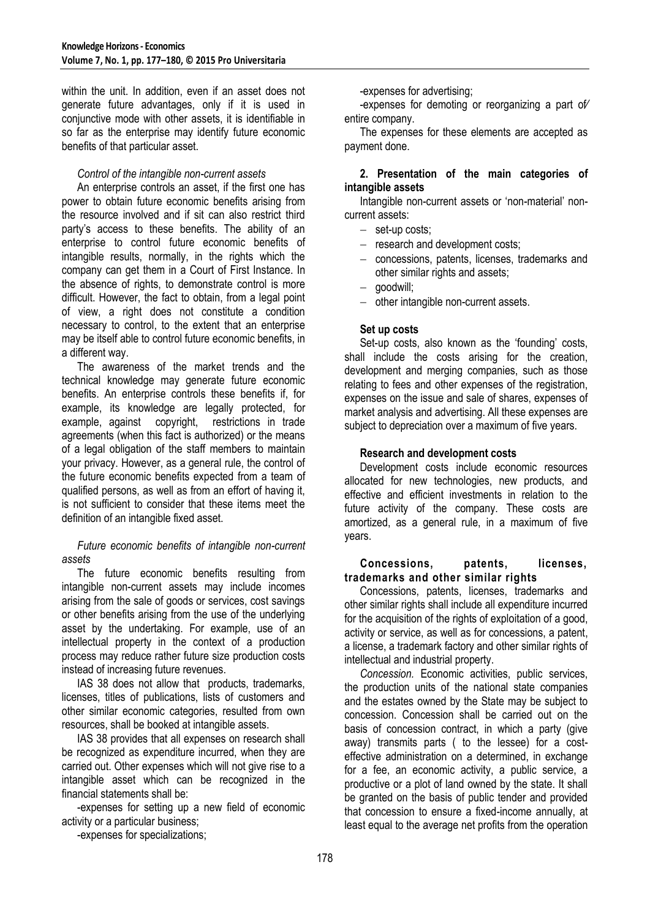within the unit. In addition, even if an asset does not generate future advantages, only if it is used in conjunctive mode with other assets, it is identifiable in so far as the enterprise may identify future economic benefits of that particular asset.

## *Control of the intangible non-current assets*

An enterprise controls an asset, if the first one has power to obtain future economic benefits arising from the resource involved and if sit can also restrict third party's access to these benefits. The ability of an enterprise to control future economic benefits of intangible results, normally, in the rights which the company can get them in a Court of First Instance. In the absence of rights, to demonstrate control is more difficult. However, the fact to obtain, from a legal point of view, a right does not constitute a condition necessary to control, to the extent that an enterprise may be itself able to control future economic benefits, in a different way.

The awareness of the market trends and the technical knowledge may generate future economic benefits. An enterprise controls these benefits if, for example, its knowledge are legally protected, for example, against copyright, restrictions in trade agreements (when this fact is authorized) or the means of a legal obligation of the staff members to maintain your privacy. However, as a general rule, the control of the future economic benefits expected from a team of qualified persons, as well as from an effort of having it, is not sufficient to consider that these items meet the definition of an intangible fixed asset.

## *Future economic benefits of intangible non-current assets*

The future economic benefits resulting from intangible non-current assets may include incomes arising from the sale of goods or services, cost savings or other benefits arising from the use of the underlying asset by the undertaking. For example, use of an intellectual property in the context of a production process may reduce rather future size production costs instead of increasing future revenues.

IAS 38 does not allow that products, trademarks, licenses, titles of publications, lists of customers and other similar economic categories, resulted from own resources, shall be booked at intangible assets.

IAS 38 provides that all expenses on research shall be recognized as expenditure incurred, when they are carried out. Other expenses which will not give rise to a intangible asset which can be recognized in the financial statements shall be:

-expenses for setting up a new field of economic activity or a particular business;

-expenses for specializations;

-expenses for advertising;

-expenses for demoting or reorganizing a part of∕ entire company.

The expenses for these elements are accepted as payment done.

# **2. Presentation of the main categories of intangible assets**

Intangible non-current assets or 'non-material' noncurrent assets:

- set-up costs;
- research and development costs;
- concessions, patents, licenses, trademarks and other similar rights and assets:
- goodwill:
- other intangible non-current assets.

# **Set up costs**

Set-up costs, also known as the 'founding' costs, shall include the costs arising for the creation, development and merging companies, such as those relating to fees and other expenses of the registration, expenses on the issue and sale of shares, expenses of market analysis and advertising. All these expenses are subject to depreciation over a maximum of five years.

# **Research and development costs**

Development costs include economic resources allocated for new technologies, new products, and effective and efficient investments in relation to the future activity of the company. These costs are amortized, as a general rule, in a maximum of five years.

#### **Concessions, patents, licenses, trademarks and other similar rights**

Concessions, patents, licenses, trademarks and other similar rights shall include all expenditure incurred for the acquisition of the rights of exploitation of a good. activity or service, as well as for concessions, a patent, a license, a trademark factory and other similar rights of intellectual and industrial property.

*Concession.* Economic activities, public services, the production units of the national state companies and the estates owned by the State may be subject to concession. Concession shall be carried out on the basis of concession contract, in which a party (give away) transmits parts ( to the lessee) for a costeffective administration on a determined, in exchange for a fee, an economic activity, a public service, a productive or a plot of land owned by the state. It shall be granted on the basis of public tender and provided that concession to ensure a fixed-income annually, at least equal to the average net profits from the operation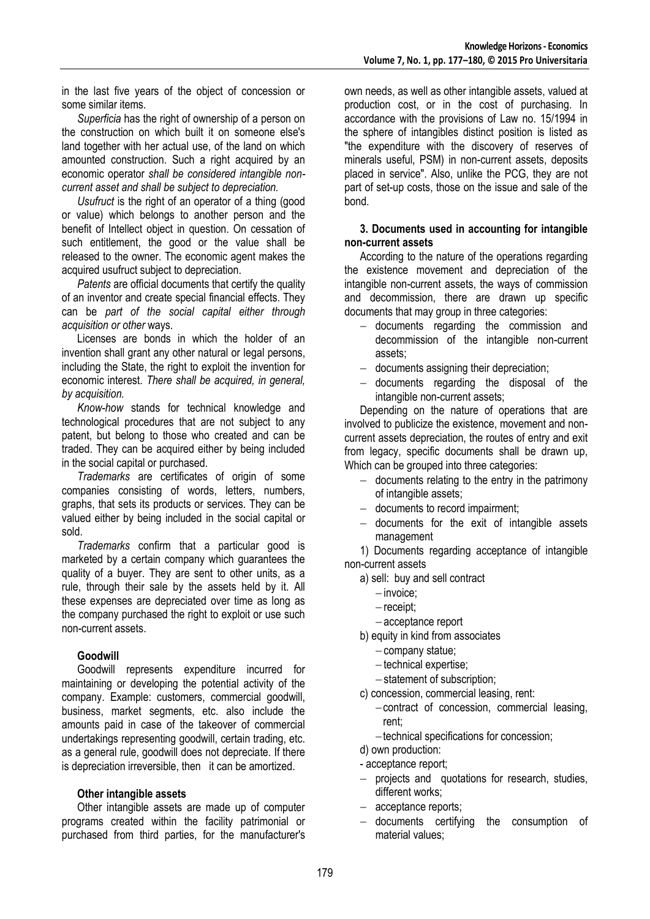in the last five years of the object of concession or some similar items.

*Superficia* has the right of ownership of a person on the construction on which built it on someone else's land together with her actual use, of the land on which amounted construction. Such a right acquired by an economic operator *shall be considered intangible noncurrent asset and shall be subject to depreciation.*

*Usufruct* is the right of an operator of a thing (good or value) which belongs to another person and the benefit of Intellect object in question. On cessation of such entitlement, the good or the value shall be released to the owner. The economic agent makes the acquired usufruct subject to depreciation.

*Patents* are official documents that certify the quality of an inventor and create special financial effects. They can be *part of the social capital either through acquisition or other* ways.

Licenses are bonds in which the holder of an invention shall grant any other natural or legal persons, including the State, the right to exploit the invention for economic interest. *There shall be acquired, in general, by acquisition.*

*Know-how* stands for technical knowledge and technological procedures that are not subject to any patent, but belong to those who created and can be traded. They can be acquired either by being included in the social capital or purchased.

*Trademarks* are certificates of origin of some companies consisting of words, letters, numbers, graphs, that sets its products or services. They can be valued either by being included in the social capital or sold.

*Trademarks* confirm that a particular good is marketed by a certain company which guarantees the quality of a buyer. They are sent to other units, as a rule, through their sale by the assets held by it. All these expenses are depreciated over time as long as the company purchased the right to exploit or use such non-current assets.

# **Goodwill**

Goodwill represents expenditure incurred for maintaining or developing the potential activity of the company. Example: customers, commercial goodwill, business, market segments, etc. also include the amounts paid in case of the takeover of commercial undertakings representing goodwill, certain trading, etc. as a general rule, goodwill does not depreciate. If there is depreciation irreversible, then it can be amortized.

# **Other intangible assets**

Other intangible assets are made up of computer programs created within the facility patrimonial or purchased from third parties, for the manufacturer's own needs, as well as other intangible assets, valued at production cost, or in the cost of purchasing. In accordance with the provisions of Law no. 15/1994 in the sphere of intangibles distinct position is listed as "the expenditure with the discovery of reserves of minerals useful, PSM) in non-current assets, deposits placed in service". Also, unlike the PCG, they are not part of set-up costs, those on the issue and sale of the bond.

#### **3. Documents used in accounting for intangible non-current assets**

According to the nature of the operations regarding the existence movement and depreciation of the intangible non-current assets, the ways of commission and decommission, there are drawn up specific documents that may group in three categories:

- documents regarding the commission and decommission of the intangible non-current assets;
- documents assigning their depreciation;
- $-$  documents regarding the disposal of the intangible non-current assets;

Depending on the nature of operations that are involved to publicize the existence, movement and noncurrent assets depreciation, the routes of entry and exit from legacy, specific documents shall be drawn up, Which can be grouped into three categories:

- $-$  documents relating to the entry in the patrimony of intangible assets;
- documents to record impairment;
- $-$  documents for the exit of intangible assets management

1) Documents regarding acceptance of intangible non-current assets

- a) sell: buy and sell contract
	- $-$  invoice:
	- $-$  receipt:
	- acceptance report
- b) equity in kind from associates
	- company statue;
	- $-$  technical expertise:
	- statement of subscription;
- c) concession, commercial leasing, rent:
	- contract of concession, commercial leasing, rent;
	- technical specifications for concession;

d) own production:

- acceptance report;

- projects and quotations for research, studies, different works;
- acceptance reports;
- documents certifying the consumption of material values;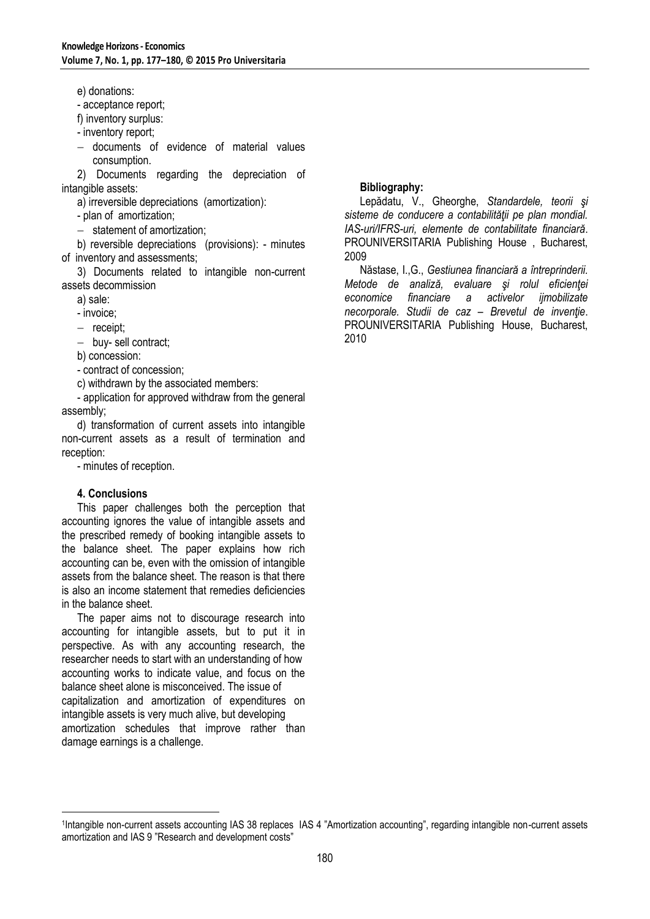e) donations:

- acceptance report;

f) inventory surplus:

- inventory report;

- documents of evidence of material values consumption.

2) Documents regarding the depreciation of intangible assets:

a) irreversible depreciations (amortization):

- plan of amortization;

- statement of amortization:

b) reversible depreciations (provisions): - minutes of inventory and assessments;

3) Documents related to intangible non-current assets decommission

a) sale:

- invoice;

 $-$  receipt;

- buy- sell contract;

b) concession:

- contract of concession;

c) withdrawn by the associated members:

- application for approved withdraw from the general assembly;

d) transformation of current assets into intangible non-current assets as a result of termination and reception:

- minutes of reception.

#### **4. Conclusions**

-

This paper challenges both the perception that accounting ignores the value of intangible assets and the prescribed remedy of booking intangible assets to the balance sheet. The paper explains how rich accounting can be, even with the omission of intangible assets from the balance sheet. The reason is that there is also an income statement that remedies deficiencies in the balance sheet.

The paper aims not to discourage research into accounting for intangible assets, but to put it in perspective. As with any accounting research, the researcher needs to start with an understanding of how accounting works to indicate value, and focus on the balance sheet alone is misconceived. The issue of capitalization and amortization of expenditures on intangible assets is very much alive, but developing amortization schedules that improve rather than damage earnings is a challenge.

## **Bibliography:**

Lepădatu, V., Gheorghe, *Standardele, teorii şi sisteme de conducere a contabilităţii pe plan mondial. IAS-uri/IFRS-uri, elemente de contabilitate financiară*. PROUNIVERSITARIA Publishing House , Bucharest, 2009

Năstase, I.,G., *Gestiunea financiară a întreprinderii. Metode de analiză, evaluare şi rolul eficienţei economice financiare a activelor ijmobilizate necorporale. Studii de caz – Brevetul de invenţie*. PROUNIVERSITARIA Publishing House, Bucharest, 2010

<sup>1</sup> Intangible non-current assets accounting IAS 38 replaces IAS 4 "Amortization accounting", regarding intangible non-current assets amortization and IAS 9 "Research and development costs"